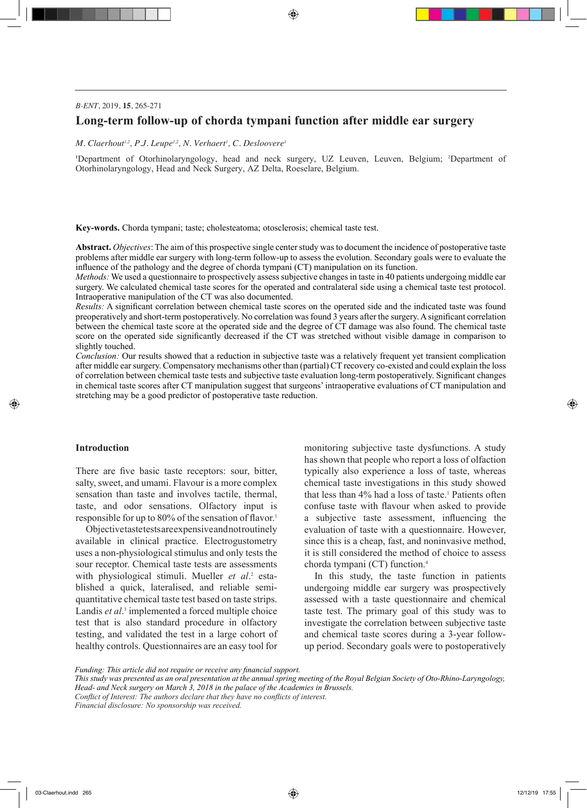⊕

## *B-ENT*, 2019, **15**, 265-271

# **Long-term follow-up of chorda tympani function after middle ear surgery**

 $M$ . Claerhout<sup>1,2</sup>, P.J. Leupe<sup>1,2</sup>, N. Verhaert<sup>1</sup>, C. Desloovere<sup>1</sup>

**1** Department of Otorhinolaryngology, head and neck surgery, UZ Leuven, Leuven, Belgium; <sup>2</sup> Department of Otorhinolaryngology, Head and Neck Surgery, AZ Delta, Roeselare, Belgium.

**Key-words.** Chorda tympani; taste; cholesteatoma; otosclerosis; chemical taste test.

**Abstract.** *Objectives*: The aim of this prospective single center study was to document the incidence of postoperative taste problems after middle ear surgery with long-term follow-up to assess the evolution. Secondary goals were to evaluate the influence of the pathology and the degree of chorda tympani (CT) manipulation on its function.

*Methods:* We used a questionnaire to prospectively assess subjective changes in taste in 40 patients undergoing middle ear surgery. We calculated chemical taste scores for the operated and contralateral side using a chemical taste test protocol. Intraoperative manipulation of the CT was also documented.

*Results:* A significant correlation between chemical taste scores on the operated side and the indicated taste was found preoperatively and short-term postoperatively. No correlation was found 3 years after the surgery. A significant correlation between the chemical taste score at the operated side and the degree of CT damage was also found. The chemical taste score on the operated side significantly decreased if the CT was stretched without visible damage in comparison to slightly touched.

*Conclusion:* Our results showed that a reduction in subjective taste was a relatively frequent yet transient complication after middle ear surgery. Compensatory mechanisms other than (partial) CT recovery co-existed and could explain the loss of correlation between chemical taste tests and subjective taste evaluation long-term postoperatively. Significant changes in chemical taste scores after CT manipulation suggest that surgeons' intraoperative evaluations of CT manipulation and stretching may be a good predictor of postoperative taste reduction.

## **Introduction**

◈

There are five basic taste receptors: sour, bitter, salty, sweet, and umami. Flavour is a more complex sensation than taste and involves tactile, thermal, taste, and odor sensations. Olfactory input is responsible for up to 80% of the sensation of flavor.<sup>1</sup>

Objective taste tests are expensive and not routinely available in clinical practice. Electrogustometry uses a non-physiological stimulus and only tests the sour receptor. Chemical taste tests are assessments with physiological stimuli. Mueller et al.<sup>2</sup> established a quick, lateralised, and reliable semiquantitative chemical taste test based on taste strips. Landis *et al.*<sup>3</sup> implemented a forced multiple choice test that is also standard procedure in olfactory testing, and validated the test in a large cohort of healthy controls. Questionnaires are an easy tool for

monitoring subjective taste dysfunctions. A study has shown that people who report a loss of olfaction typically also experience a loss of taste, whereas chemical taste investigations in this study showed that less than 4% had a loss of taste.<sup>1</sup> Patients often confuse taste with flavour when asked to provide a subjective taste assessment, influencing the evaluation of taste with a questionnaire. However, since this is a cheap, fast, and noninvasive method, it is still considered the method of choice to assess chorda tympani (CT) function.4

In this study, the taste function in patients undergoing middle ear surgery was prospectively assessed with a taste questionnaire and chemical taste test. The primary goal of this study was to investigate the correlation between subjective taste and chemical taste scores during a 3-year followup period. Secondary goals were to postoperatively

*Financial disclosure: No sponsorship was received.*

*Funding: This article did not require or receive any financial support.*

*This study was presented as an oral presentation at the annual spring meeting of the Royal Belgian Society of Oto-Rhino-Laryngology, Head- and Neck surgery on March 3, 2018 in the palace of the Academies in Brussels.*

*Conflict of Interest: The authors declare that they have no conflicts of interest.*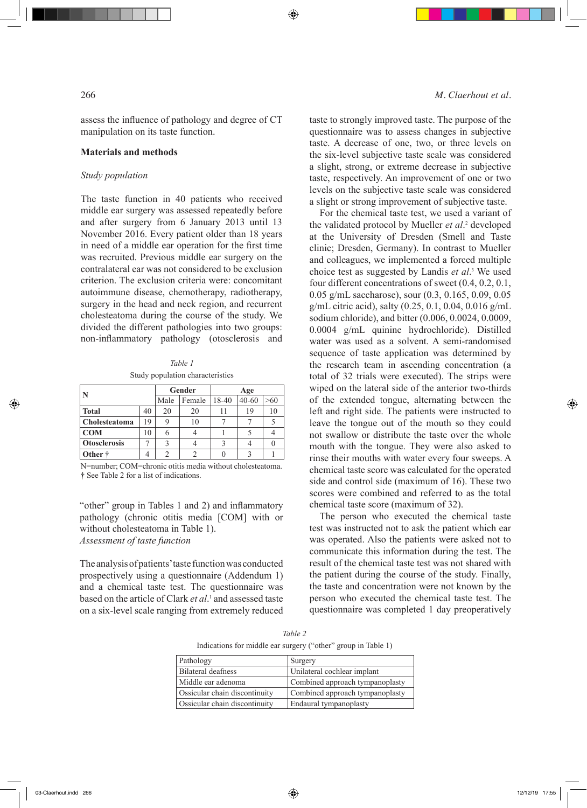◈

assess the influence of pathology and degree of CT manipulation on its taste function.

## **Materials and methods**

## *Study population*

The taste function in 40 patients who received middle ear surgery was assessed repeatedly before and after surgery from 6 January 2013 until 13 November 2016. Every patient older than 18 years in need of a middle ear operation for the first time was recruited. Previous middle ear surgery on the contralateral ear was not considered to be exclusion criterion. The exclusion criteria were: concomitant autoimmune disease, chemotherapy, radiotherapy, surgery in the head and neck region, and recurrent cholesteatoma during the course of the study. We divided the different pathologies into two groups: non-inflammatory pathology (otosclerosis and

*Table 1* Study population characteristics

|                     |    | Gender |        | Age   |           |     |  |
|---------------------|----|--------|--------|-------|-----------|-----|--|
|                     |    | Male   | Female | 18-40 | $40 - 60$ | >60 |  |
| <b>Total</b>        | 40 | 20     | 20     |       | 19        |     |  |
| Cholesteatoma       | 19 | 9      | 10     |       |           |     |  |
| COM                 | 10 | h      |        |       |           |     |  |
| <b>Otosclerosis</b> |    |        |        |       |           |     |  |
| Other †             |    |        |        |       |           |     |  |

N=number; COM=chronic otitis media without cholesteatoma. † See Table 2 for a list of indications.

"other" group in Tables 1 and 2) and inflammatory pathology (chronic otitis media [COM] with or without cholesteatoma in Table 1). *Assessment of taste function*

The analysis of patients' taste function was conducted prospectively using a questionnaire (Addendum 1) and a chemical taste test. The questionnaire was based on the article of Clark *et al*. 1 and assessed taste on a six-level scale ranging from extremely reduced

#### 266 *M. Claerhout et al.*

taste to strongly improved taste. The purpose of the questionnaire was to assess changes in subjective taste. A decrease of one, two, or three levels on the six-level subjective taste scale was considered a slight, strong, or extreme decrease in subjective taste, respectively. An improvement of one or two levels on the subjective taste scale was considered a slight or strong improvement of subjective taste.

For the chemical taste test, we used a variant of the validated protocol by Mueller *et al*. 2 developed at the University of Dresden (Smell and Taste clinic; Dresden, Germany). In contrast to Mueller and colleagues, we implemented a forced multiple choice test as suggested by Landis *et al*. 3 We used four different concentrations of sweet (0.4, 0.2, 0.1, 0.05 g/mL saccharose), sour (0.3, 0.165, 0.09, 0.05 g/mL citric acid), salty (0.25, 0.1, 0.04, 0.016 g/mL sodium chloride), and bitter (0.006, 0.0024, 0.0009, 0.0004 g/mL quinine hydrochloride). Distilled water was used as a solvent. A semi-randomised sequence of taste application was determined by the research team in ascending concentration (a total of 32 trials were executed). The strips were wiped on the lateral side of the anterior two-thirds of the extended tongue, alternating between the left and right side. The patients were instructed to leave the tongue out of the mouth so they could not swallow or distribute the taste over the whole mouth with the tongue. They were also asked to rinse their mouths with water every four sweeps. A chemical taste score was calculated for the operated side and control side (maximum of 16). These two scores were combined and referred to as the total chemical taste score (maximum of 32).

The person who executed the chemical taste test was instructed not to ask the patient which ear was operated. Also the patients were asked not to communicate this information during the test. The result of the chemical taste test was not shared with the patient during the course of the study. Finally, the taste and concentration were not known by the person who executed the chemical taste test. The questionnaire was completed 1 day preoperatively

*Table 2* Indications for middle ear surgery ("other" group in Table 1)

| Pathology                            | Surgery                         |
|--------------------------------------|---------------------------------|
| Bilateral deafness                   | Unilateral cochlear implant     |
| Middle ear adenoma                   | Combined approach tympanoplasty |
| Ossicular chain discontinuity        | Combined approach tympanoplasty |
| <b>Ossicular chain discontinuity</b> | Endaural tympanoplasty          |

◈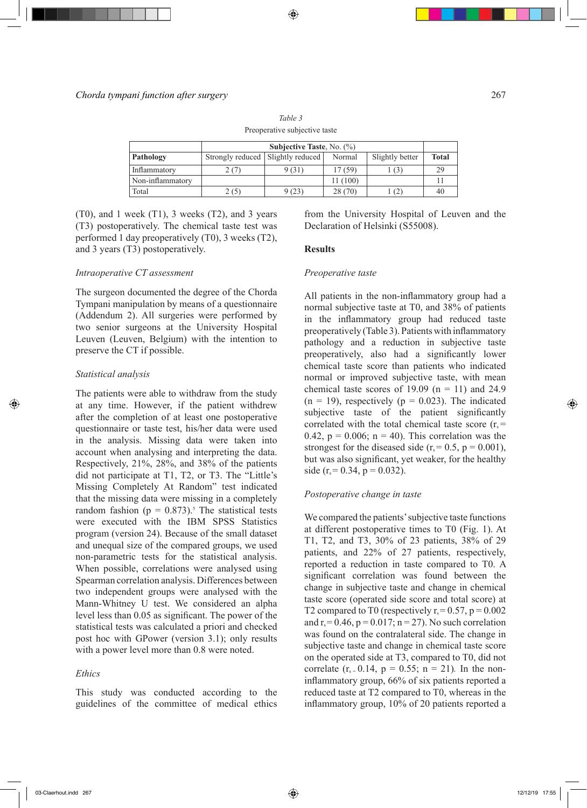## *Chorda tympani function after surgery* 267

**Subjective Taste**, No. (%) **Pathology** Strongly reduced Slightly reduced Normal Slightly better Total Inflammatory  $2(7)$  9 (31) 17 (59) 1 (3) 29 Non-inflammatory 11 (100) 11 (100) 11 Total 2 (5)  $\begin{array}{|c|c|c|c|c|c|c|c|} \hline \end{array}$  2 (70) 1 (2) 40

*Table 3* Preoperative subjective taste

(T0), and 1 week (T1), 3 weeks (T2), and 3 years (T3) postoperatively. The chemical taste test was performed 1 day preoperatively (T0), 3 weeks (T2), and 3 years (T3) postoperatively.

## *Intraoperative CT assessment*

The surgeon documented the degree of the Chorda Tympani manipulation by means of a questionnaire (Addendum 2). All surgeries were performed by two senior surgeons at the University Hospital Leuven (Leuven, Belgium) with the intention to preserve the CT if possible.

## *Statistical analysis*

◈

The patients were able to withdraw from the study at any time. However, if the patient withdrew after the completion of at least one postoperative questionnaire or taste test, his/her data were used in the analysis. Missing data were taken into account when analysing and interpreting the data. Respectively, 21%, 28%, and 38% of the patients did not participate at T1, T2, or T3. The "Little's Missing Completely At Random" test indicated that the missing data were missing in a completely random fashion ( $p = 0.873$ ).<sup>5</sup> The statistical tests were executed with the IBM SPSS Statistics program (version 24). Because of the small dataset and unequal size of the compared groups, we used non-parametric tests for the statistical analysis. When possible, correlations were analysed using Spearman correlation analysis. Differences between two independent groups were analysed with the Mann-Whitney U test. We considered an alpha level less than 0.05 as significant. The power of the statistical tests was calculated a priori and checked post hoc with GPower (version 3.1); only results with a power level more than 0.8 were noted.

## *Ethics*

This study was conducted according to the guidelines of the committee of medical ethics

from the University Hospital of Leuven and the Declaration of Helsinki (S55008).

#### **Results**

## *Preoperative taste*

All patients in the non-inflammatory group had a normal subjective taste at T0, and 38% of patients in the inflammatory group had reduced taste preoperatively (Table 3). Patients with inflammatory pathology and a reduction in subjective taste preoperatively, also had a significantly lower chemical taste score than patients who indicated normal or improved subjective taste, with mean chemical taste scores of 19.09 ( $n = 11$ ) and 24.9  $(n = 19)$ , respectively  $(p = 0.023)$ . The indicated subjective taste of the patient significantly correlated with the total chemical taste score  $(r<sub>s</sub> =$ 0.42,  $p = 0.006$ ;  $n = 40$ ). This correlation was the strongest for the diseased side ( $r_s = 0.5$ ,  $p = 0.001$ ), but was also significant, yet weaker, for the healthy side (r<sub>s</sub> = 0.34, p = 0.032).

## *Postoperative change in taste*

We compared the patients' subjective taste functions at different postoperative times to T0 (Fig. 1). At T1, T2, and T3, 30% of 23 patients, 38% of 29 patients, and 22% of 27 patients, respectively, reported a reduction in taste compared to T0. A significant correlation was found between the change in subjective taste and change in chemical taste score (operated side score and total score) at T2 compared to T0 (respectively  $r_s = 0.57$ ,  $p = 0.002$ ) and  $r_s = 0.46$ ,  $p = 0.017$ ;  $n = 27$ ). No such correlation was found on the contralateral side. The change in subjective taste and change in chemical taste score on the operated side at T3, compared to T0, did not correlate  $(r_{s=} 0.14, p = 0.55; n = 21)$ *.* In the noninflammatory group, 66% of six patients reported a reduced taste at T2 compared to T0, whereas in the inflammatory group, 10% of 20 patients reported a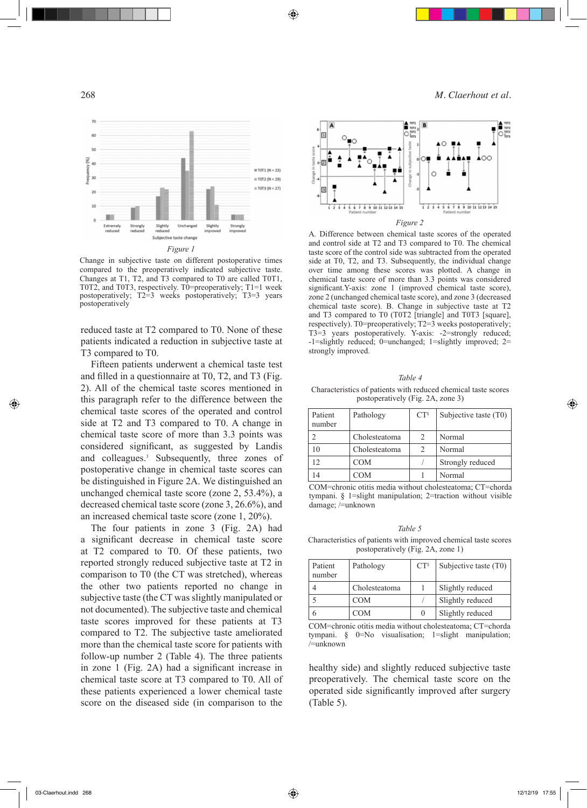⊕

268 *M. Claerhout et al.*



Change in subjective taste on different postoperative times compared to the preoperatively indicated subjective taste. Changes at T1, T2, and T3 compared to T0 are called T0T1, T0T2, and T0T3, respectively. T0=preoperatively; T1=1 week postoperatively; T2=3 weeks postoperatively; T3=3 years postoperatively

reduced taste at T2 compared to T0. None of these patients indicated a reduction in subjective taste at T3 compared to T0.

Fifteen patients underwent a chemical taste test and filled in a questionnaire at T0, T2, and T3 (Fig. 2). All of the chemical taste scores mentioned in this paragraph refer to the difference between the chemical taste scores of the operated and control side at T2 and T3 compared to T0. A change in chemical taste score of more than 3.3 points was considered significant, as suggested by Landis and colleagues.<sup>3</sup> Subsequently, three zones of postoperative change in chemical taste scores can be distinguished in Figure 2A. We distinguished an unchanged chemical taste score (zone 2, 53.4%), a decreased chemical taste score (zone 3, 26.6%), and an increased chemical taste score (zone 1, 20%).

The four patients in zone 3 (Fig. 2A) had a significant decrease in chemical taste score at T2 compared to T0. Of these patients, two reported strongly reduced subjective taste at T2 in comparison to T0 (the CT was stretched), whereas the other two patients reported no change in subjective taste (the CT was slightly manipulated or not documented). The subjective taste and chemical taste scores improved for these patients at T3 compared to T2. The subjective taste ameliorated more than the chemical taste score for patients with follow-up number 2 (Table 4). The three patients in zone 1 (Fig. 2A) had a significant increase in chemical taste score at T3 compared to T0. All of these patients experienced a lower chemical taste score on the diseased side (in comparison to the



A*.* Difference between chemical taste scores of the operated and control side at T2 and T3 compared to T0. The chemical taste score of the control side was subtracted from the operated side at T0, T2, and T3. Subsequently, the individual change over time among these scores was plotted. A change in chemical taste score of more than 3.3 points was considered significant.Y-axis: zone 1 (improved chemical taste score), zone 2 (unchanged chemical taste score), and zone 3 (decreased chemical taste score). B. Change in subjective taste at T2 and T3 compared to T0 (T0T2 [triangle] and T0T3 [square], respectively). T0=preoperatively; T2=3 weeks postoperatively; T3=3 years postoperatively. Y-axis: -2=strongly reduced; -1=slightly reduced; 0=unchanged; 1=slightly improved; 2= strongly improved.

#### *Table 4*

#### Characteristics of patients with reduced chemical taste scores postoperatively (Fig. 2A, zone 3)

| Patient<br>number | Pathology     | $CT^s$ | Subjective taste (T0) |
|-------------------|---------------|--------|-----------------------|
|                   | Cholesteatoma | 2      | Normal                |
| 10                | Cholesteatoma | 2      | Normal                |
| $\overline{12}$   | <b>COM</b>    |        | Strongly reduced      |
| 14                | <b>COM</b>    |        | Normal                |

COM=chronic otitis media without cholesteatoma; CT=chorda tympani. § 1=slight manipulation; 2=traction without visible damage; /=unknown

*Table 5* Characteristics of patients with improved chemical taste scores postoperatively (Fig. 2A, zone 1)

| Patient<br>number | Pathology     | $CT^s$ | Subjective taste $(T0)$ |
|-------------------|---------------|--------|-------------------------|
|                   | Cholesteatoma |        | Slightly reduced        |
|                   | <b>COM</b>    |        | Slightly reduced        |
|                   | COM           | 0      | Slightly reduced        |

COM=chronic otitis media without cholesteatoma; CT=chorda tympani. § 0=No visualisation; 1=slight manipulation; /=unknown

healthy side) and slightly reduced subjective taste preoperatively. The chemical taste score on the operated side significantly improved after surgery (Table 5).

◈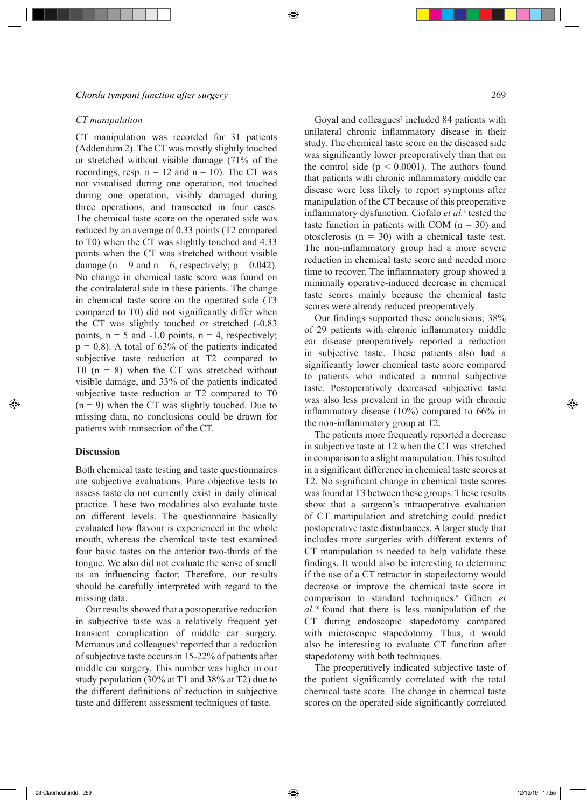⊕

## *Chorda tympani function after surgery* 269

## *CT manipulation*

CT manipulation was recorded for 31 patients (Addendum 2). The CT was mostly slightly touched or stretched without visible damage (71% of the recordings, resp.  $n = 12$  and  $n = 10$ ). The CT was not visualised during one operation, not touched during one operation, visibly damaged during three operations, and transected in four cases. The chemical taste score on the operated side was reduced by an average of 0.33 points (T2 compared to T0) when the CT was slightly touched and 4.33 points when the CT was stretched without visible damage ( $n = 9$  and  $n = 6$ , respectively;  $p = 0.042$ ). No change in chemical taste score was found on the contralateral side in these patients. The change in chemical taste score on the operated side (T3 compared to T0) did not significantly differ when the CT was slightly touched or stretched (-0.83 points,  $n = 5$  and  $-1.0$  points,  $n = 4$ , respectively;  $p = 0.8$ ). A total of 63% of the patients indicated subjective taste reduction at T2 compared to T0  $(n = 8)$  when the CT was stretched without visible damage, and 33% of the patients indicated subjective taste reduction at T2 compared to T0  $(n = 9)$  when the CT was slightly touched. Due to missing data, no conclusions could be drawn for patients with transection of the CT.

## **Discussion**

◈

Both chemical taste testing and taste questionnaires are subjective evaluations. Pure objective tests to assess taste do not currently exist in daily clinical practice. These two modalities also evaluate taste on different levels. The questionnaire basically evaluated how flavour is experienced in the whole mouth, whereas the chemical taste test examined four basic tastes on the anterior two-thirds of the tongue. We also did not evaluate the sense of smell as an influencing factor. Therefore, our results should be carefully interpreted with regard to the missing data.

Our results showed that a postoperative reduction in subjective taste was a relatively frequent yet transient complication of middle ear surgery. Mcmanus and colleagues<sup>6</sup> reported that a reduction of subjective taste occurs in 15-22% of patients after middle ear surgery. This number was higher in our study population (30% at T1 and 38% at T2) due to the different definitions of reduction in subjective taste and different assessment techniques of taste.

Goyal and colleagues<sup>7</sup> included 84 patients with unilateral chronic inflammatory disease in their study. The chemical taste score on the diseased side was significantly lower preoperatively than that on the control side ( $p < 0.0001$ ). The authors found that patients with chronic inflammatory middle ear disease were less likely to report symptoms after manipulation of the CT because of this preoperative inflammatory dysfunction. Ciofalo *et al.*<sup>8</sup> tested the taste function in patients with COM  $(n = 30)$  and otosclerosis  $(n = 30)$  with a chemical taste test. The non-inflammatory group had a more severe reduction in chemical taste score and needed more time to recover. The inflammatory group showed a minimally operative-induced decrease in chemical taste scores mainly because the chemical taste scores were already reduced preoperatively.

Our findings supported these conclusions; 38% of 29 patients with chronic inflammatory middle ear disease preoperatively reported a reduction in subjective taste. These patients also had a significantly lower chemical taste score compared to patients who indicated a normal subjective taste. Postoperatively decreased subjective taste was also less prevalent in the group with chronic inflammatory disease (10%) compared to 66% in the non-inflammatory group at T2.

The patients more frequently reported a decrease in subjective taste at T2 when the CT was stretched in comparison to a slight manipulation. This resulted in a significant difference in chemical taste scores at T2. No significant change in chemical taste scores was found at T3 between these groups. These results show that a surgeon's intraoperative evaluation of CT manipulation and stretching could predict postoperative taste disturbances. A larger study that includes more surgeries with different extents of CT manipulation is needed to help validate these findings. It would also be interesting to determine if the use of a CT retractor in stapedectomy would decrease or improve the chemical taste score in comparison to standard techniques.<sup>9</sup> Güneri et *al*. 10 found that there is less manipulation of the CT during endoscopic stapedotomy compared with microscopic stapedotomy. Thus, it would also be interesting to evaluate CT function after stapedotomy with both techniques.

The preoperatively indicated subjective taste of the patient significantly correlated with the total chemical taste score. The change in chemical taste scores on the operated side significantly correlated

03-Claerhout.indd 269 12/12/19 17:55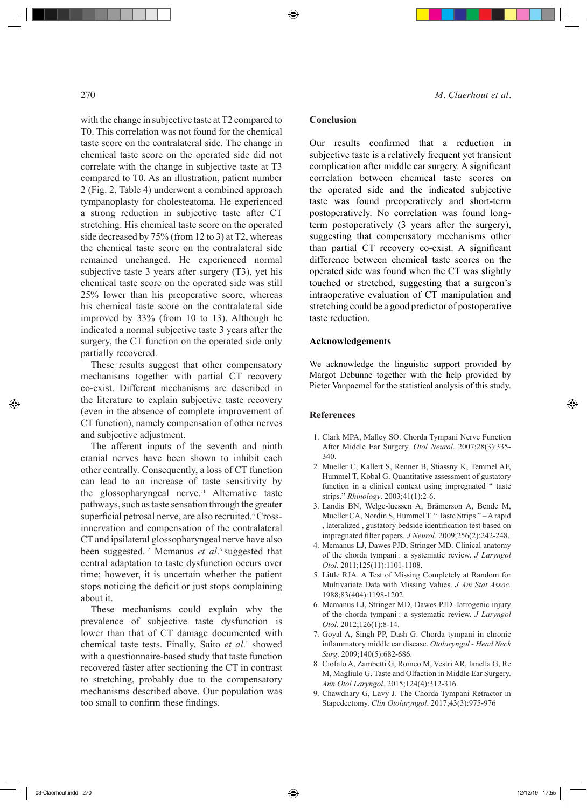◈

with the change in subjective taste at T2 compared to T0. This correlation was not found for the chemical taste score on the contralateral side. The change in chemical taste score on the operated side did not correlate with the change in subjective taste at T3 compared to T0*.* As an illustration, patient number 2 (Fig. 2, Table 4) underwent a combined approach tympanoplasty for cholesteatoma. He experienced a strong reduction in subjective taste after CT stretching. His chemical taste score on the operated side decreased by 75% (from 12 to 3) at T2, whereas the chemical taste score on the contralateral side remained unchanged. He experienced normal subjective taste 3 years after surgery (T3), yet his chemical taste score on the operated side was still 25% lower than his preoperative score, whereas his chemical taste score on the contralateral side improved by 33% (from 10 to 13). Although he indicated a normal subjective taste 3 years after the surgery, the CT function on the operated side only partially recovered.

These results suggest that other compensatory mechanisms together with partial CT recovery co-exist. Different mechanisms are described in the literature to explain subjective taste recovery (even in the absence of complete improvement of CT function), namely compensation of other nerves and subjective adjustment.

The afferent inputs of the seventh and ninth cranial nerves have been shown to inhibit each other centrally. Consequently, a loss of CT function can lead to an increase of taste sensitivity by the glossopharyngeal nerve.<sup>11</sup> Alternative taste pathways, such as taste sensation through the greater superficial petrosal nerve, are also recruited.<sup>6</sup> Crossinnervation and compensation of the contralateral CT and ipsilateral glossopharyngeal nerve have also been suggested.<sup>12</sup> Mcmanus *et al.*<sup>6</sup> suggested that central adaptation to taste dysfunction occurs over time; however, it is uncertain whether the patient stops noticing the deficit or just stops complaining about it.

These mechanisms could explain why the prevalence of subjective taste dysfunction is lower than that of CT damage documented with chemical taste tests. Finally, Saito et al.<sup>1</sup> showed with a questionnaire-based study that taste function recovered faster after sectioning the CT in contrast to stretching, probably due to the compensatory mechanisms described above. Our population was too small to confirm these findings.

270 *M. Claerhout et al.*

## **Conclusion**

⊕

Our results confirmed that a reduction in subjective taste is a relatively frequent yet transient complication after middle ear surgery. A significant correlation between chemical taste scores on the operated side and the indicated subjective taste was found preoperatively and short-term postoperatively. No correlation was found longterm postoperatively (3 years after the surgery), suggesting that compensatory mechanisms other than partial CT recovery co-exist. A significant difference between chemical taste scores on the operated side was found when the CT was slightly touched or stretched, suggesting that a surgeon's intraoperative evaluation of CT manipulation and stretching could be a good predictor of postoperative taste reduction.

## **Acknowledgements**

We acknowledge the linguistic support provided by Margot Debunne together with the help provided by Pieter Vanpaemel for the statistical analysis of this study.

#### **References**

- 1. Clark MPA, Malley SO. Chorda Tympani Nerve Function After Middle Ear Surgery. *Otol Neurol*. 2007;28(3):335- 340.
- 2. Mueller C, Kallert S, Renner B, Stiassny K, Temmel AF, Hummel T, Kobal G. Quantitative assessment of gustatory function in a clinical context using impregnated " taste strips." *Rhinology*. 2003;41(1):2-6.
- 3. Landis BN, Welge-luessen A, Brämerson A, Bende M, Mueller CA, Nordin S, Hummel T. " Taste Strips " – A rapid , lateralized , gustatory bedside identification test based on impregnated filter papers. *J Neurol*. 2009;256(2):242-248.
- 4. Mcmanus LJ, Dawes PJD, Stringer MD. Clinical anatomy of the chorda tympani : a systematic review. *J Laryngol Otol*. 2011;125(11):1101-1108.
- 5. Little RJA. A Test of Missing Completely at Random for Multivariate Data with Missing Values. *J Am Stat Assoc.* 1988;83(404):1198-1202.
- 6. Mcmanus LJ, Stringer MD, Dawes PJD. Iatrogenic injury of the chorda tympani : a systematic review. *J Laryngol Otol*. 2012;126(1):8-14.
- 7. Goyal A, Singh PP, Dash G. Chorda tympani in chronic inflammatory middle ear disease. *Otolaryngol - Head Neck Surg*. 2009;140(5):682-686.
- 8. Ciofalo A, Zambetti G, Romeo M, Vestri AR, Ianella G, Re M, Magliulo G. Taste and Olfaction in Middle Ear Surgery. *Ann Otol Laryngol*. 2015;124(4):312-316.
- 9. Chawdhary G, Lavy J. The Chorda Tympani Retractor in Stapedectomy. *Clin Otolaryngol*. 2017;43(3):975-976

03-Claerhout.indd 270 12/12/19 17:55 1200 12/12/19 17:55 12/12/19 17:55 12/12/19 17:55 12/12/19 17:55 12/12/19